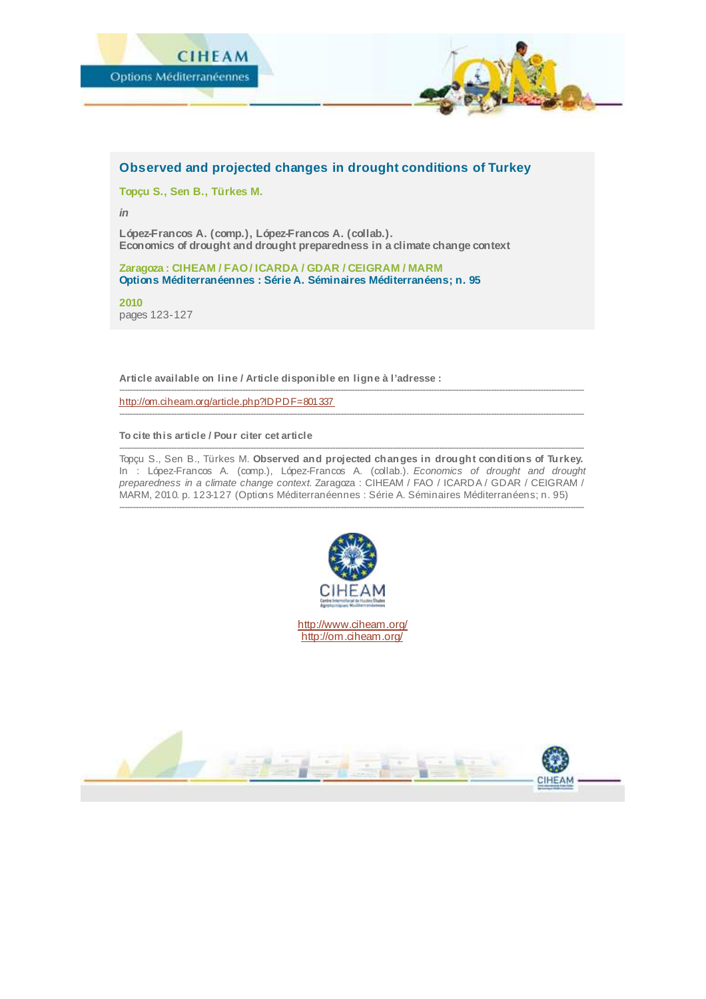

### **Observed and projected changes in drought conditions of Turkey**

**Topçu S., Sen B., Türkes M.**

*in*

**López-Francos A. (comp.), López-Francos A. (collab.). Economics of drought and drought preparedness in a climate change context**

**Zaragoza : CIHEAM / FAO / ICARDA / GDAR / CEIGRAM / MARM Options Méditerranéennes : Série A. Séminaires Méditerranéens; n. 95**

**2010** pages 123-127

**Article available on line / Article disponible en ligne à l'adresse :**

<http://om.ciheam.org/article.php?IDPDF=801337>

#### **To cite this article / Pour citer cet article**

-------------------------------------------------------------------------------------------------------------------------------------------------------------------------- Topçu S., Sen B., Türkes M. **Observed and projected changes in drought conditions of Turkey.** In : López-Francos A. (comp.), López-Francos A. (collab.). *Economics of drought and drought preparedness in a climate change context.* Zaragoza : CIHEAM / FAO / ICARDA / GDAR / CEIGRAM / MARM, 2010. p. 123-127 (Options Méditerranéennes : Série A. Séminaires Méditerranéens; n. 95) --------------------------------------------------------------------------------------------------------------------------------------------------------------------------

--------------------------------------------------------------------------------------------------------------------------------------------------------------------------

--------------------------------------------------------------------------------------------------------------------------------------------------------------------------



<http://www.ciheam.org/> <http://om.ciheam.org/>

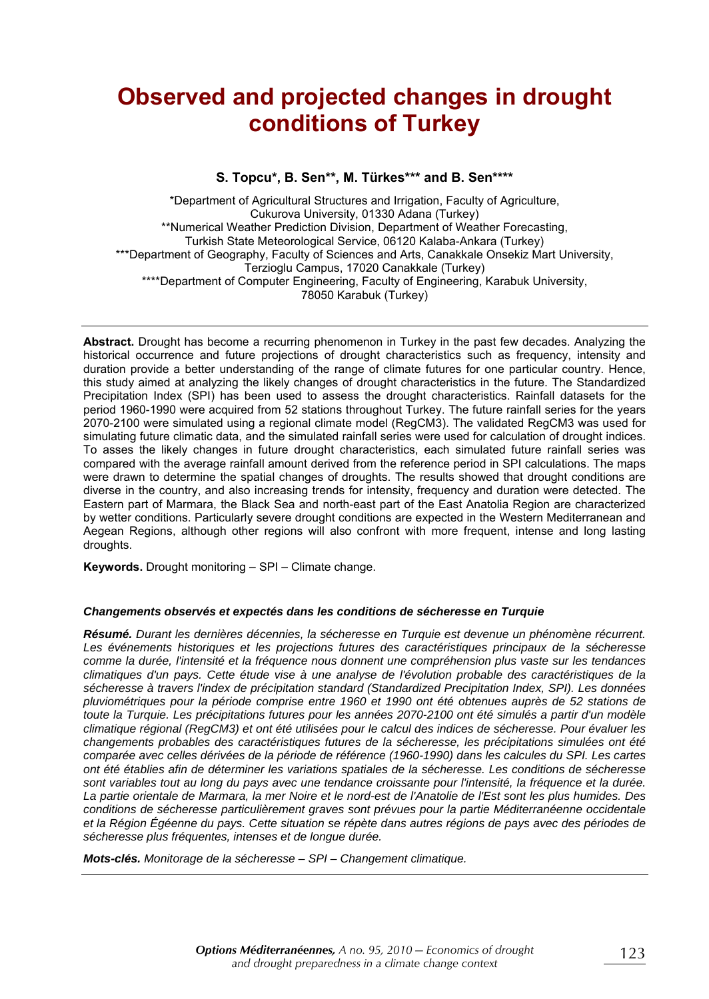# **Observed and projected changes in drought conditions of Turkey**

#### S. Topcu\*, B. Sen\*\*, M. Türkes\*\*\* and B. Sen\*\*\*\*

\*Department of Agricultural Structures and Irrigation, Faculty of Agriculture, Cukurova University, 01330 Adana (Turkey) \*\*Numerical Weather Prediction Division, Department of Weather Forecasting, Turkish State Meteorological Service, 06120 Kalaba-Ankara (Turkey) \*\*\*Department of Geography, Faculty of Sciences and Arts, Canakkale Onsekiz Mart University, Terzioglu Campus, 17020 Canakkale (Turkey) \*\*\*\*Department of Computer Engineering, Faculty of Engineering, Karabuk University, 78050 Karabuk (Turkey)

**Abstract.** Drought has become a recurring phenomenon in Turkey in the past few decades. Analyzing the historical occurrence and future projections of drought characteristics such as frequency, intensity and duration provide a better understanding of the range of climate futures for one particular country. Hence, this study aimed at analyzing the likely changes of drought characteristics in the future. The Standardized Precipitation Index (SPI) has been used to assess the drought characteristics. Rainfall datasets for the period 1960-1990 were acquired from 52 stations throughout Turkey. The future rainfall series for the years 2070-2100 were simulated using a regional climate model (RegCM3). The validated RegCM3 was used for simulating future climatic data, and the simulated rainfall series were used for calculation of drought indices. To asses the likely changes in future drought characteristics, each simulated future rainfall series was compared with the average rainfall amount derived from the reference period in SPI calculations. The maps were drawn to determine the spatial changes of droughts. The results showed that drought conditions are diverse in the country, and also increasing trends for intensity, frequency and duration were detected. The Eastern part of Marmara, the Black Sea and north-east part of the East Anatolia Region are characterized by wetter conditions. Particularly severe drought conditions are expected in the Western Mediterranean and Aegean Regions, although other regions will also confront with more frequent, intense and long lasting droughts.

**Keywords.** Drought monitoring – SPI – Climate change.

#### **Changements observés et expectés dans les conditions de sécheresse en Turquie**

**Résumé.** Durant les dernières décennies, la sécheresse en Turquie est devenue un phénomène récurrent. Les événements historiques et les projections futures des caractéristiques principaux de la sécheresse comme la durée, l'intensité et la fréquence nous donnent une compréhension plus vaste sur les tendances climatiques d'un pays. Cette étude vise à une analyse de l'évolution probable des caractéristiques de la sécheresse à travers l'index de précipitation standard (Standardized Precipitation Index, SPI). Les données pluviométriques pour la période comprise entre 1960 et 1990 ont été obtenues auprès de 52 stations de toute la Turquie. Les précipitations futures pour les années 2070-2100 ont été simulés a partir d'un modèle climatique régional (RegCM3) et ont été utilisées pour le calcul des indices de sécheresse. Pour évaluer les changements probables des caractéristiques futures de la sécheresse, les précipitations simulées ont été comparée avec celles dérivées de la période de référence (1960-1990) dans les calcules du SPI. Les cartes ont été établies afin de déterminer les variations spatiales de la sécheresse. Les conditions de sécheresse sont variables tout au long du pays avec une tendance croissante pour l'intensité, la fréquence et la durée. La partie orientale de Marmara, la mer Noire et le nord-est de l'Anatolie de l'Est sont les plus humides. Des conditions de sécheresse particulièrement graves sont prévues pour la partie Méditerranéenne occidentale et la Région Égéenne du pays. Cette situation se répète dans autres régions de pays avec des périodes de sécheresse plus fréquentes, intenses et de longue durée.

**Mots-clés.** Monitorage de la sécheresse – SPI – Changement climatique.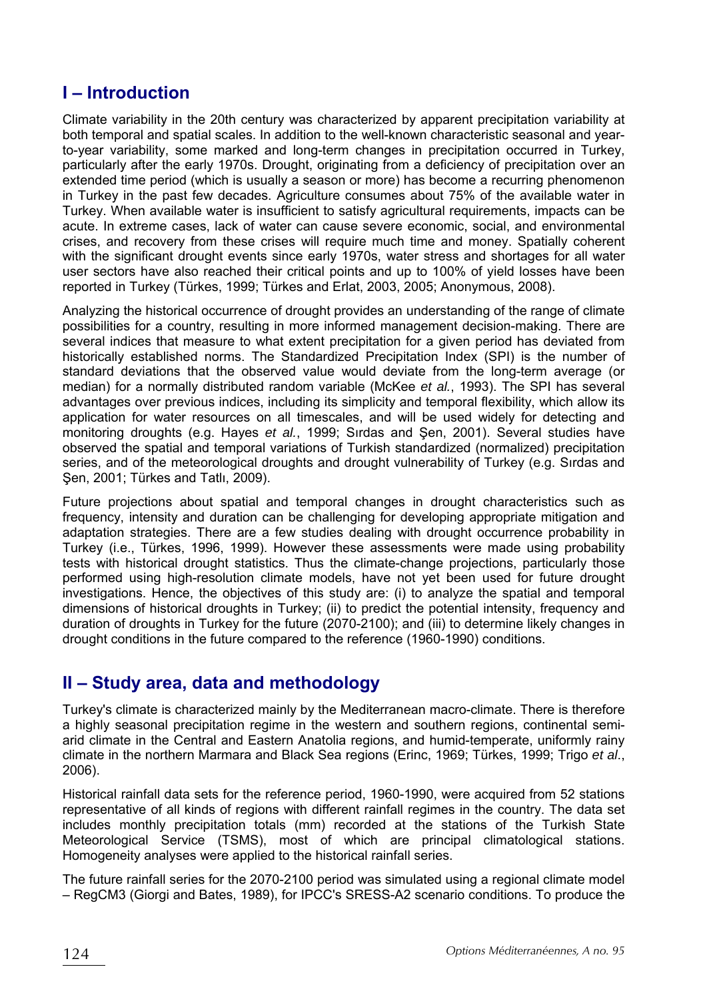# **I** – Introduction

Climate variability in the 20th century was characterized by apparent precipitation variability at both temporal and spatial scales. In addition to the well-known characteristic seasonal and yearto-year variability, some marked and long-term changes in precipitation occurred in Turkey, particularly after the early 1970s. Drought, originating from a deficiency of precipitation over an extended time period (which is usually a season or more) has become a recurring phenomenon in Turkey in the past few decades. Agriculture consumes about 75% of the available water in Turkey. When available water is insufficient to satisfy agricultural requirements, impacts can be acute. In extreme cases, lack of water can cause severe economic, social, and environmental crises, and recovery from these crises will require much time and money. Spatially coherent with the significant drought events since early 1970s, water stress and shortages for all water user sectors have also reached their critical points and up to 100% of yield losses have been reported in Turkey (Türkes, 1999; Türkes and Erlat, 2003, 2005; Anonymous, 2008).

Analyzing the historical occurrence of drought provides an understanding of the range of climate possibilities for a country, resulting in more informed management decision-making. There are several indices that measure to what extent precipitation for a given period has deviated from historically established norms. The Standardized Precipitation Index (SPI) is the number of standard deviations that the observed value would deviate from the long-term average (or median) for a normally distributed random variable (McKee et al., 1993). The SPI has several advantages over previous indices, including its simplicity and temporal flexibility, which allow its application for water resources on all timescales, and will be used widely for detecting and monitoring droughts (e.g. Hayes et al., 1999; Sırdas and Şen, 2001). Several studies have observed the spatial and temporal variations of Turkish standardized (normalized) precipitation series, and of the meteorological droughts and drought vulnerability of Turkey (e.g. Sirdas and Şen, 2001; Türkes and Tatlı, 2009).

Future projections about spatial and temporal changes in drought characteristics such as frequency, intensity and duration can be challenging for developing appropriate mitigation and adaptation strategies. There are a few studies dealing with drought occurrence probability in Turkey (i.e., Türkes, 1996, 1999). However these assessments were made using probability tests with historical drought statistics. Thus the climate-change projections, particularly those performed using high-resolution climate models, have not yet been used for future drought investigations. Hence, the objectives of this study are: (i) to analyze the spatial and temporal dimensions of historical droughts in Turkey; (ii) to predict the potential intensity, frequency and duration of droughts in Turkey for the future (2070-2100); and (iii) to determine likely changes in drought conditions in the future compared to the reference (1960-1990) conditions.

## **II – Study area, data and methodology**

Turkey's climate is characterized mainly by the Mediterranean macro-climate. There is therefore a highly seasonal precipitation regime in the western and southern regions, continental semiarid climate in the Central and Eastern Anatolia regions, and humid-temperate, uniformly rainy climate in the northern Marmara and Black Sea regions (Erinc, 1969; Türkes, 1999; Trigo et al., 2006).

Historical rainfall data sets for the reference period, 1960-1990, were acquired from 52 stations representative of all kinds of regions with different rainfall regimes in the country. The data set includes monthly precipitation totals (mm) recorded at the stations of the Turkish State Meteorological Service (TSMS), most of which are principal climatological stations. Homogeneity analyses were applied to the historical rainfall series.

The future rainfall series for the 2070-2100 period was simulated using a regional climate model  $-$  RegCM3 (Giorgi and Bates, 1989), for IPCC's SRESS-A2 scenario conditions. To produce the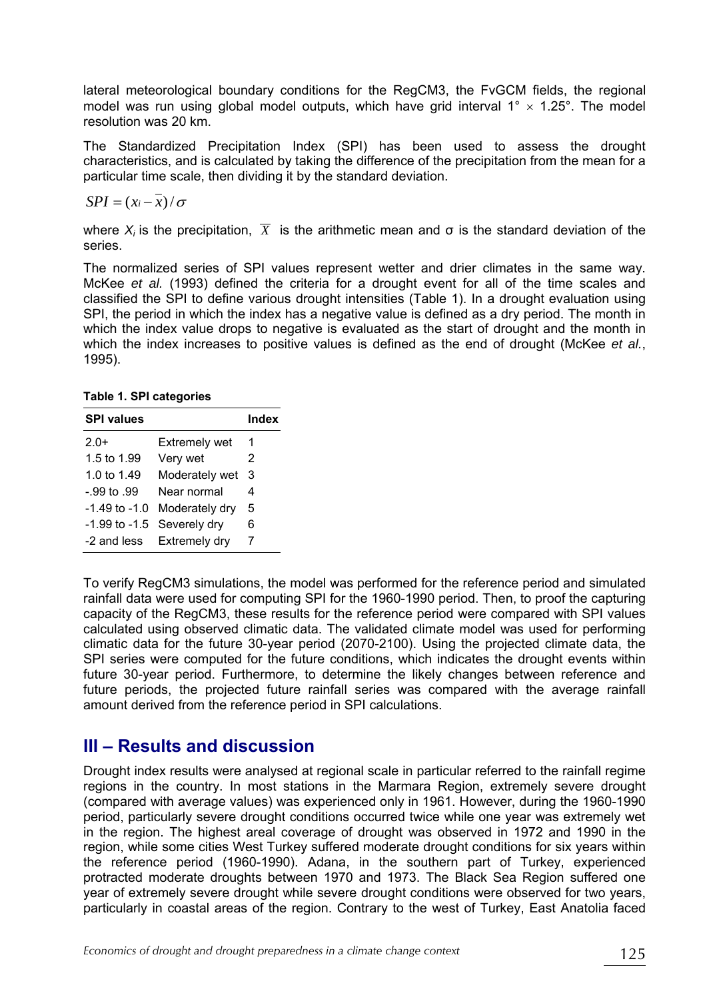lateral meteorological boundary conditions for the RegCM3, the FvGCM fields, the regional model was run using global model outputs, which have grid interval  $1^\circ \times 1.25^\circ$ . The model resolution was 20 km.

The Standardized Precipitation Index (SPI) has been used to assess the drought characteristics, and is calculated by taking the difference of the precipitation from the mean for a particular time scale, then dividing it by the standard deviation.

$$
SPI = (x_i - \overline{x})/\sigma
$$

where  $X_i$  is the precipitation,  $\overline{X}$  is the arithmetic mean and  $\sigma$  is the standard deviation of the series.

The normalized series of SPI values represent wetter and drier climates in the same way. McKee et al. (1993) defined the criteria for a drought event for all of the time scales and classified the SPI to define various drought intensities (Table 1). In a drought evaluation using SPI, the period in which the index has a negative value is defined as a dry period. The month in which the index value drops to negative is evaluated as the start of drought and the month in which the index increases to positive values is defined as the end of drought (McKee et al., 1995).

**Table 1. SPI categories** 

| <b>SPI values</b> |                | Index |
|-------------------|----------------|-------|
| $2.0+$            | Extremely wet  | 1     |
| 1.5 to 1.99       | Very wet       | 2     |
| 1.0 to 1.49       | Moderately wet | 3     |
| $-99$ to $.99$    | Near normal    | 4     |
| $-1.49$ to $-1.0$ | Moderately dry | 5     |
| $-1.99$ to $-1.5$ | Severely dry   | 6     |
| -2 and less       | Extremely dry  | 7     |

To verify RegCM3 simulations, the model was performed for the reference period and simulated rainfall data were used for computing SPI for the 1960-1990 period. Then, to proof the capturing capacity of the RegCM3, these results for the reference period were compared with SPI values calculated using observed climatic data. The validated climate model was used for performing climatic data for the future 30-year period (2070-2100). Using the projected climate data, the SPI series were computed for the future conditions, which indicates the drought events within future 30-year period. Furthermore, to determine the likely changes between reference and future periods, the projected future rainfall series was compared with the average rainfall amount derived from the reference period in SPI calculations.

### **III - Results and discussion**

Drought index results were analysed at regional scale in particular referred to the rainfall regime regions in the country. In most stations in the Marmara Region, extremely severe drought (compared with average values) was experienced only in 1961. However, during the 1960-1990 period, particularly severe drought conditions occurred twice while one year was extremely wet in the region. The highest areal coverage of drought was observed in 1972 and 1990 in the region, while some cities West Turkey suffered moderate drought conditions for six years within the reference period (1960-1990). Adana, in the southern part of Turkey, experienced protracted moderate droughts between 1970 and 1973. The Black Sea Region suffered one year of extremely severe drought while severe drought conditions were observed for two years, particularly in coastal areas of the region. Contrary to the west of Turkey, East Anatolia faced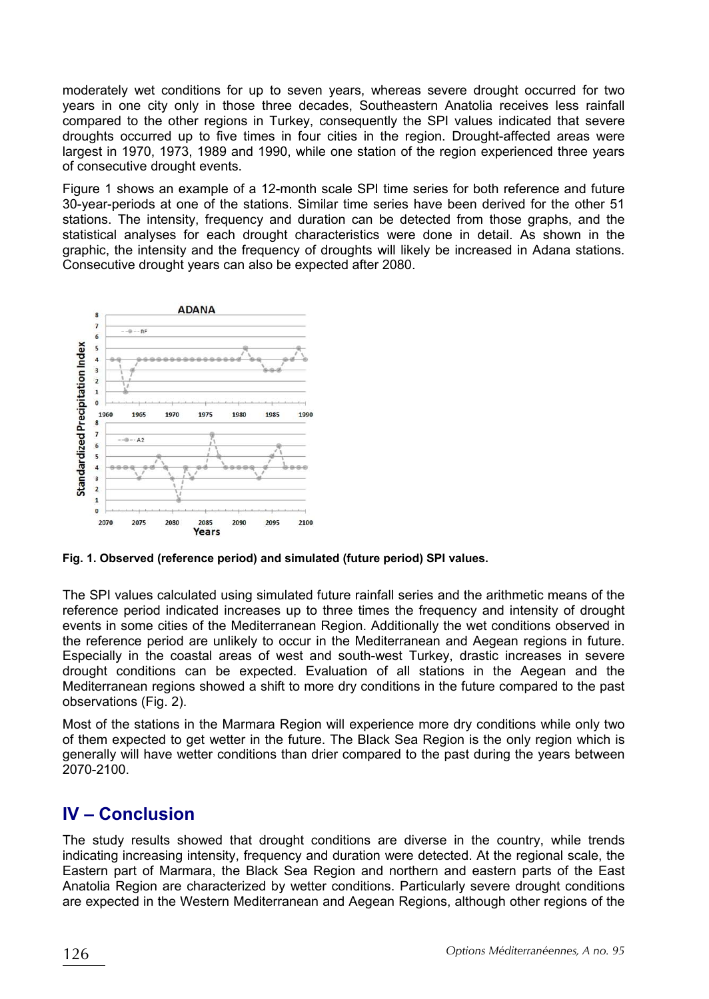moderately wet conditions for up to seven years, whereas severe drought occurred for two years in one city only in those three decades, Southeastern Anatolia receives less rainfall compared to the other regions in Turkey, consequently the SPI values indicated that severe droughts occurred up to five times in four cities in the region. Drought-affected areas were largest in 1970, 1973, 1989 and 1990, while one station of the region experienced three years of consecutive drought events.

Figure 1 shows an example of a 12-month scale SPI time series for both reference and future 30-year-periods at one of the stations. Similar time series have been derived for the other 51 stations. The intensity, frequency and duration can be detected from those graphs, and the statistical analyses for each drought characteristics were done in detail. As shown in the graphic, the intensity and the frequency of droughts will likely be increased in Adana stations. Consecutive drought years can also be expected after 2080.



**Fig. 1. Observed (reference period) and simulated (future period) SPI values.** 

The SPI values calculated using simulated future rainfall series and the arithmetic means of the reference period indicated increases up to three times the frequency and intensity of drought events in some cities of the Mediterranean Region. Additionally the wet conditions observed in the reference period are unlikely to occur in the Mediterranean and Aegean regions in future. Especially in the coastal areas of west and south-west Turkey, drastic increases in severe drought conditions can be expected. Evaluation of all stations in the Aegean and the Mediterranean regions showed a shift to more dry conditions in the future compared to the past observations (Fig. 2).

Most of the stations in the Marmara Region will experience more dry conditions while only two of them expected to get wetter in the future. The Black Sea Region is the only region which is generally will have wetter conditions than drier compared to the past during the years between 2070-2100.

# **IV – Conclusion**

The study results showed that drought conditions are diverse in the country, while trends indicating increasing intensity, frequency and duration were detected. At the regional scale, the Eastern part of Marmara, the Black Sea Region and northern and eastern parts of the East Anatolia Region are characterized by wetter conditions. Particularly severe drought conditions are expected in the Western Mediterranean and Aegean Regions, although other regions of the